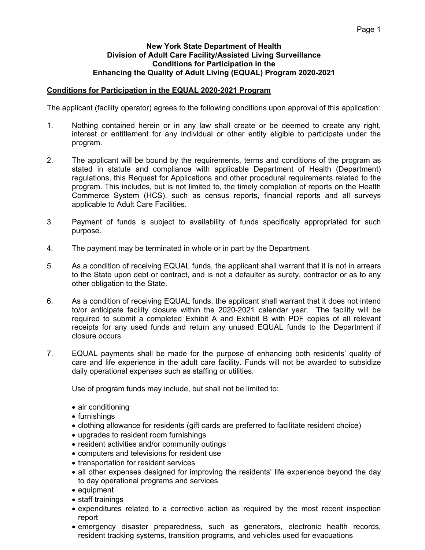### **New York State Department of Health Division of Adult Care Facility/Assisted Living Surveillance Conditions for Participation in the Enhancing the Quality of Adult Living (EQUAL) Program 2020-2021**

## **Conditions for Participation in the EQUAL 2020-2021 Program**

The applicant (facility operator) agrees to the following conditions upon approval of this application:

- 1. Nothing contained herein or in any law shall create or be deemed to create any right, interest or entitlement for any individual or other entity eligible to participate under the program.
- 2. The applicant will be bound by the requirements, terms and conditions of the program as stated in statute and compliance with applicable Department of Health (Department) regulations, this Request for Applications and other procedural requirements related to the program. This includes, but is not limited to, the timely completion of reports on the Health Commerce System (HCS), such as census reports, financial reports and all surveys applicable to Adult Care Facilities.
- 3. Payment of funds is subject to availability of funds specifically appropriated for such purpose.
- 4. The payment may be terminated in whole or in part by the Department.
- 5. As a condition of receiving EQUAL funds, the applicant shall warrant that it is not in arrears to the State upon debt or contract, and is not a defaulter as surety, contractor or as to any other obligation to the State.
- 6. As a condition of receiving EQUAL funds, the applicant shall warrant that it does not intend to/or anticipate facility closure within the 2020-2021 calendar year. The facility will be required to submit a completed Exhibit A and Exhibit B with PDF copies of all relevant receipts for any used funds and return any unused EQUAL funds to the Department if closure occurs.
- 7. EQUAL payments shall be made for the purpose of enhancing both residents' quality of care and life experience in the adult care facility. Funds will not be awarded to subsidize daily operational expenses such as staffing or utilities.

Use of program funds may include, but shall not be limited to:

- air conditioning
- furnishings
- clothing allowance for residents (gift cards are preferred to facilitate resident choice)
- upgrades to resident room furnishings
- resident activities and/or community outings
- computers and televisions for resident use
- transportation for resident services
- all other expenses designed for improving the residents' life experience beyond the day to day operational programs and services
- equipment
- staff trainings
- expenditures related to a corrective action as required by the most recent inspection report
- emergency disaster preparedness, such as generators, electronic health records, resident tracking systems, transition programs, and vehicles used for evacuations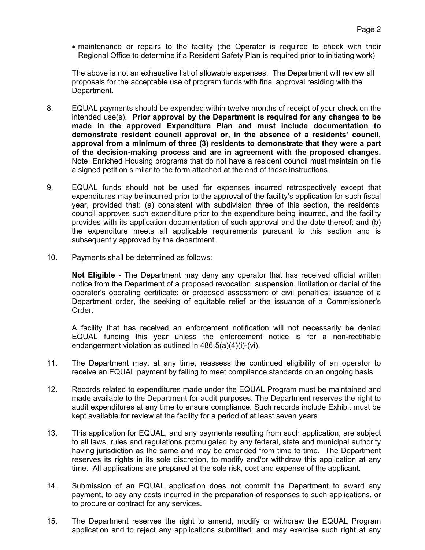• maintenance or repairs to the facility (the Operator is required to check with their Regional Office to determine if a Resident Safety Plan is required prior to initiating work)

The above is not an exhaustive list of allowable expenses. The Department will review all proposals for the acceptable use of program funds with final approval residing with the Department.

- 8. EQUAL payments should be expended within twelve months of receipt of your check on the intended use(s). **Prior approval by the Department is required for any changes to be made in the approved Expenditure Plan and must include documentation to demonstrate resident council approval or, in the absence of a residents' council, approval from a minimum of three (3) residents to demonstrate that they were a part of the decision-making process and are in agreement with the proposed changes.** Note: Enriched Housing programs that do not have a resident council must maintain on file a signed petition similar to the form attached at the end of these instructions.
- 9. EQUAL funds should not be used for expenses incurred retrospectively except that expenditures may be incurred prior to the approval of the facility's application for such fiscal year, provided that: (a) consistent with subdivision three of this section, the residents' council approves such expenditure prior to the expenditure being incurred, and the facility provides with its application documentation of such approval and the date thereof; and (b) the expenditure meets all applicable requirements pursuant to this section and is subsequently approved by the department.
- 10. Payments shall be determined as follows:

**Not Eligible** - The Department may deny any operator that has received official written notice from the Department of a proposed revocation, suspension, limitation or denial of the operator's operating certificate; or proposed assessment of civil penalties; issuance of a Department order, the seeking of equitable relief or the issuance of a Commissioner's Order.

A facility that has received an enforcement notification will not necessarily be denied EQUAL funding this year unless the enforcement notice is for a non-rectifiable endangerment violation as outlined in 486.5(a)(4)(i)-(vi).

- 11. The Department may, at any time, reassess the continued eligibility of an operator to receive an EQUAL payment by failing to meet compliance standards on an ongoing basis.
- 12. Records related to expenditures made under the EQUAL Program must be maintained and made available to the Department for audit purposes. The Department reserves the right to audit expenditures at any time to ensure compliance. Such records include Exhibit must be kept available for review at the facility for a period of at least seven years.
- 13. This application for EQUAL, and any payments resulting from such application, are subject to all laws, rules and regulations promulgated by any federal, state and municipal authority having jurisdiction as the same and may be amended from time to time. The Department reserves its rights in its sole discretion, to modify and/or withdraw this application at any time. All applications are prepared at the sole risk, cost and expense of the applicant.
- 14. Submission of an EQUAL application does not commit the Department to award any payment, to pay any costs incurred in the preparation of responses to such applications, or to procure or contract for any services.
- 15. The Department reserves the right to amend, modify or withdraw the EQUAL Program application and to reject any applications submitted; and may exercise such right at any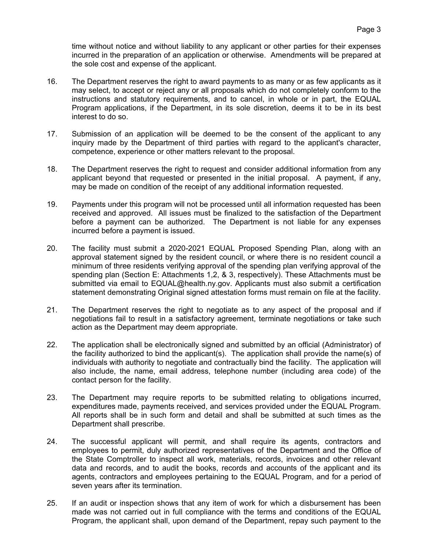time without notice and without liability to any applicant or other parties for their expenses incurred in the preparation of an application or otherwise. Amendments will be prepared at the sole cost and expense of the applicant.

- 16. The Department reserves the right to award payments to as many or as few applicants as it may select, to accept or reject any or all proposals which do not completely conform to the instructions and statutory requirements, and to cancel, in whole or in part, the EQUAL Program applications, if the Department, in its sole discretion, deems it to be in its best interest to do so.
- 17. Submission of an application will be deemed to be the consent of the applicant to any inquiry made by the Department of third parties with regard to the applicant's character, competence, experience or other matters relevant to the proposal.
- 18. The Department reserves the right to request and consider additional information from any applicant beyond that requested or presented in the initial proposal. A payment, if any, may be made on condition of the receipt of any additional information requested.
- 19. Payments under this program will not be processed until all information requested has been received and approved. All issues must be finalized to the satisfaction of the Department before a payment can be authorized. The Department is not liable for any expenses incurred before a payment is issued.
- 20. The facility must submit a 2020-2021 EQUAL Proposed Spending Plan, along with an approval statement signed by the resident council, or where there is no resident council a minimum of three residents verifying approval of the spending plan verifying approval of the spending plan (Section E: Attachments 1,2, & 3, respectively). These Attachments must be submitted via email to EQUAL@health.ny.gov. Applicants must also submit a certification statement demonstrating Original signed attestation forms must remain on file at the facility.
- 21. The Department reserves the right to negotiate as to any aspect of the proposal and if negotiations fail to result in a satisfactory agreement, terminate negotiations or take such action as the Department may deem appropriate.
- 22. The application shall be electronically signed and submitted by an official (Administrator) of the facility authorized to bind the applicant(s). The application shall provide the name(s) of individuals with authority to negotiate and contractually bind the facility. The application will also include, the name, email address, telephone number (including area code) of the contact person for the facility.
- 23. The Department may require reports to be submitted relating to obligations incurred, expenditures made, payments received, and services provided under the EQUAL Program. All reports shall be in such form and detail and shall be submitted at such times as the Department shall prescribe.
- 24. The successful applicant will permit, and shall require its agents, contractors and employees to permit, duly authorized representatives of the Department and the Office of the State Comptroller to inspect all work, materials, records, invoices and other relevant data and records, and to audit the books, records and accounts of the applicant and its agents, contractors and employees pertaining to the EQUAL Program, and for a period of seven years after its termination.
- 25. If an audit or inspection shows that any item of work for which a disbursement has been made was not carried out in full compliance with the terms and conditions of the EQUAL Program, the applicant shall, upon demand of the Department, repay such payment to the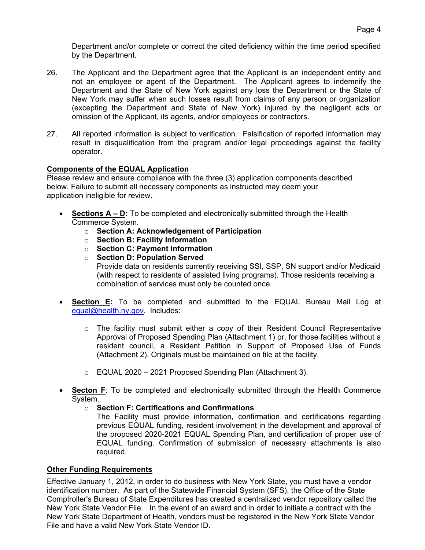Department and/or complete or correct the cited deficiency within the time period specified by the Department.

- 26. The Applicant and the Department agree that the Applicant is an independent entity and not an employee or agent of the Department. The Applicant agrees to indemnify the Department and the State of New York against any loss the Department or the State of New York may suffer when such losses result from claims of any person or organization (excepting the Department and State of New York) injured by the negligent acts or omission of the Applicant, its agents, and/or employees or contractors.
- 27. All reported information is subject to verification. Falsification of reported information may result in disqualification from the program and/or legal proceedings against the facility operator.

# **Components of the EQUAL Application**

Please review and ensure compliance with the three (3) application components described below. Failure to submit all necessary components as instructed may deem your application ineligible for review.

- **Sections A D:** To be completed and electronically submitted through the Health Commerce System.
	- o **Section A: Acknowledgement of Participation**
	- o **Section B: Facility Information**
	- o **Section C: Payment Information**
	- o **Section D: Population Served**

Provide data on residents currently receiving SSI, SSP, SN support and/or Medicaid (with respect to residents of assisted living programs). Those residents receiving a combination of services must only be counted once.

- **Section E:** To be completed and submitted to the EQUAL Bureau Mail Log at equal@health.ny.gov. Includes:
	- o The facility must submit either a copy of their Resident Council Representative Approval of Proposed Spending Plan (Attachment 1) or, for those facilities without a resident council, a Resident Petition in Support of Proposed Use of Funds (Attachment 2). Originals must be maintained on file at the facility.
	- o EQUAL 2020 2021 Proposed Spending Plan (Attachment 3).
- **Secton F**: To be completed and electronically submitted through the Health Commerce System.

## o **Section F: Certifications and Confirmations**

The Facility must provide information, confirmation and certifications regarding previous EQUAL funding, resident involvement in the development and approval of the proposed 2020-2021 EQUAL Spending Plan, and certification of proper use of EQUAL funding. Confirmation of submission of necessary attachments is also required.

## **Other Funding Requirements**

Effective January 1, 2012, in order to do business with New York State, you must have a vendor identification number. As part of the Statewide Financial System (SFS), the Office of the State Comptroller's Bureau of State Expenditures has created a centralized vendor repository called the New York State Vendor File. In the event of an award and in order to initiate a contract with the New York State Department of Health, vendors must be registered in the New York State Vendor File and have a valid New York State Vendor ID.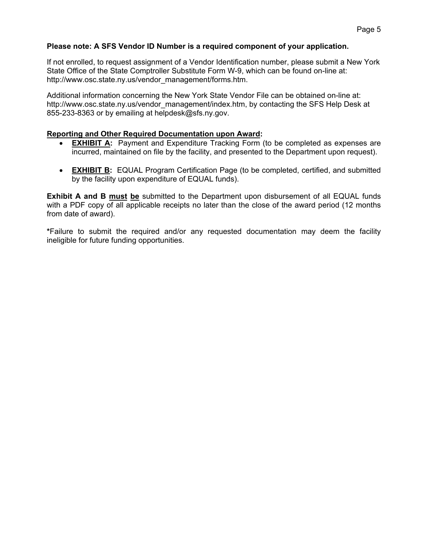## **Please note: A SFS Vendor ID Number is a required component of your application.**

If not enrolled, to request assignment of a Vendor Identification number, please submit a New York State Office of the State Comptroller Substitute Form W-9, which can be found on-line at: http://www.osc.state.ny.us/vendor\_management/forms.htm.

Additional information concerning the New York State Vendor File can be obtained on-line at: http://www.osc.state.ny.us/vendor\_management/index.htm, by contacting the SFS Help Desk at 855-233-8363 or by emailing at helpdesk@sfs.ny.gov.

## **Reporting and Other Required Documentation upon Award:**

- **EXHIBIT A:** Payment and Expenditure Tracking Form (to be completed as expenses are incurred, maintained on file by the facility, and presented to the Department upon request).
- **EXHIBIT B:** EQUAL Program Certification Page (to be completed, certified, and submitted by the facility upon expenditure of EQUAL funds).

**Exhibit A and B must be** submitted to the Department upon disbursement of all EQUAL funds with a PDF copy of all applicable receipts no later than the close of the award period (12 months from date of award).

**\***Failure to submit the required and/or any requested documentation may deem the facility ineligible for future funding opportunities.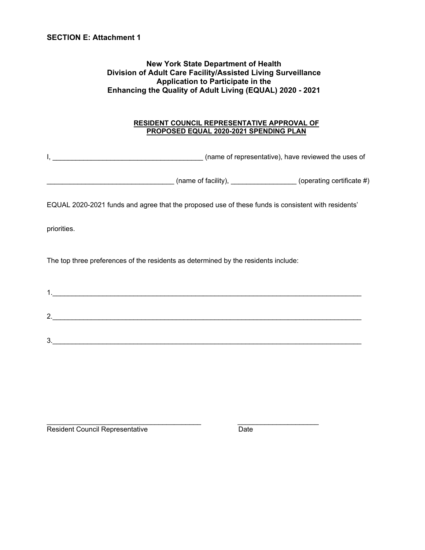## **New York State Department of Health Division of Adult Care Facility/Assisted Living Surveillance Application to Participate in the Enhancing the Quality of Adult Living (EQUAL) 2020 - 2021**

#### **RESIDENT COUNCIL REPRESENTATIVE APPROVAL OF PROPOSED EQUAL 2020-2021 SPENDING PLAN**

|                     | (name of representative), have reviewed the uses of |
|---------------------|-----------------------------------------------------|
| (name of facility), | (operating certificate #)                           |

EQUAL 2020-2021 funds and agree that the proposed use of these funds is consistent with residents'

priorities.

The top three preferences of the residents as determined by the residents include:

| 2       |  |  |  |
|---------|--|--|--|
| ົ<br>s. |  |  |  |

 $\mathcal{L}_\text{max}$  , and the contribution of the contribution of the contribution of the contribution of the contribution of the contribution of the contribution of the contribution of the contribution of the contribution of t

Resident Council Representative **Date** Date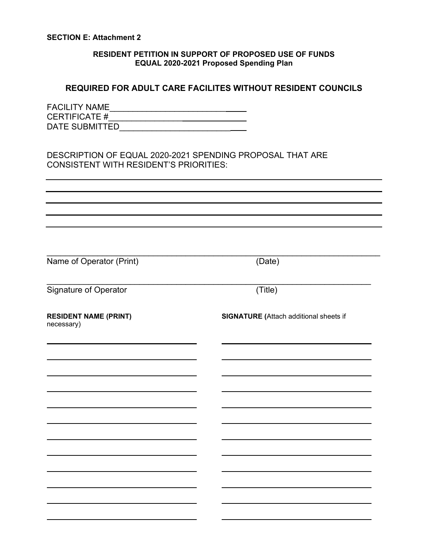## **RESIDENT PETITION IN SUPPORT OF PROPOSED USE OF FUNDS EQUAL 2020-2021 Proposed Spending Plan**

# **REQUIRED FOR ADULT CARE FACILITES WITHOUT RESIDENT COUNCILS**

 $\overline{\phantom{a}}$  , and the contribution of the contribution of the contribution of the contribution of the contribution of the contribution of the contribution of the contribution of the contribution of the contribution of the

| <b>FACILITY NAME</b> |  |
|----------------------|--|
| <b>CERTIFICATE #</b> |  |
| DATE SUBMITTED       |  |

# DESCRIPTION OF EQUAL 2020-2021 SPENDING PROPOSAL THAT ARE CONSISTENT WITH RESIDENT'S PRIORITIES:

Name of Operator (Print) (Date)

Signature of Operator (Title)

necessary)

 $\mathcal{L}_\text{max}$  , and the contribution of the contribution of the contribution of the contribution of the contribution of the contribution of the contribution of the contribution of the contribution of the contribution of t

**RESIDENT NAME (PRINT) SIGNATURE (**Attach additional sheets if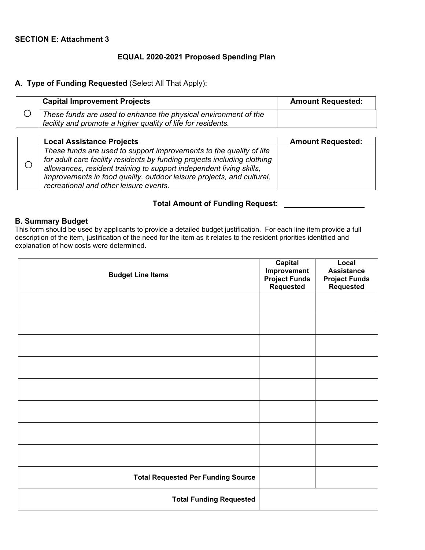## **SECTION E: Attachment 3**

#### **EQUAL 2020-2021 Proposed Spending Plan**

# A. Type of Funding Requested (Select All That Apply):

|  | <b>Capital Improvement Projects</b>                             | <b>Amount Requested:</b> |
|--|-----------------------------------------------------------------|--------------------------|
|  | These funds are used to enhance the physical environment of the |                          |
|  | facility and promote a higher quality of life for residents.    |                          |

| <b>Local Assistance Projects</b>                                                                                                                                                                                                                                                                | <b>Amount Requested:</b> |
|-------------------------------------------------------------------------------------------------------------------------------------------------------------------------------------------------------------------------------------------------------------------------------------------------|--------------------------|
| These funds are used to support improvements to the quality of life<br>for adult care facility residents by funding projects including clothing<br>allowances, resident training to support independent living skills,<br>improvements in food quality, outdoor leisure projects, and cultural, |                          |
| recreational and other leisure events.                                                                                                                                                                                                                                                          |                          |

#### **Total Amount of Funding Request:**

#### **B. Summary Budget**

This form should be used by applicants to provide a detailed budget justification. For each line item provide a full description of the item, justification of the need for the item as it relates to the resident priorities identified and explanation of how costs were determined.

| <b>Budget Line Items</b>                  | Capital<br>Improvement<br><b>Project Funds</b><br><b>Requested</b> | Local<br><b>Assistance</b><br><b>Project Funds</b><br><b>Requested</b> |
|-------------------------------------------|--------------------------------------------------------------------|------------------------------------------------------------------------|
|                                           |                                                                    |                                                                        |
|                                           |                                                                    |                                                                        |
|                                           |                                                                    |                                                                        |
|                                           |                                                                    |                                                                        |
|                                           |                                                                    |                                                                        |
|                                           |                                                                    |                                                                        |
|                                           |                                                                    |                                                                        |
|                                           |                                                                    |                                                                        |
| <b>Total Requested Per Funding Source</b> |                                                                    |                                                                        |
| <b>Total Funding Requested</b>            |                                                                    |                                                                        |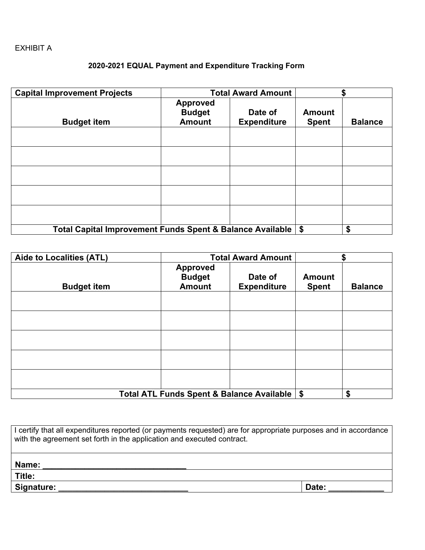# EXHIBIT A

# **2020-2021 EQUAL Payment and Expenditure Tracking Form**

| <b>Capital Improvement Projects</b>                       | <b>Total Award Amount</b>                         |                               |                               |                |
|-----------------------------------------------------------|---------------------------------------------------|-------------------------------|-------------------------------|----------------|
| <b>Budget item</b>                                        | <b>Approved</b><br><b>Budget</b><br><b>Amount</b> | Date of<br><b>Expenditure</b> | <b>Amount</b><br><b>Spent</b> | <b>Balance</b> |
|                                                           |                                                   |                               |                               |                |
|                                                           |                                                   |                               |                               |                |
|                                                           |                                                   |                               |                               |                |
|                                                           |                                                   |                               |                               |                |
|                                                           |                                                   |                               |                               |                |
| Total Capital Improvement Funds Spent & Balance Available |                                                   |                               | \$                            | \$             |

| Aide to Localities (ATL) | <b>Total Award Amount</b>                         |                               |                               |                |
|--------------------------|---------------------------------------------------|-------------------------------|-------------------------------|----------------|
| <b>Budget item</b>       | <b>Approved</b><br><b>Budget</b><br><b>Amount</b> | Date of<br><b>Expenditure</b> | <b>Amount</b><br><b>Spent</b> | <b>Balance</b> |
|                          |                                                   |                               |                               |                |
|                          |                                                   |                               |                               |                |
|                          |                                                   |                               |                               |                |
|                          |                                                   |                               |                               |                |
|                          |                                                   |                               |                               |                |
|                          | Total ATL Funds Spent & Balance Available   \$    |                               |                               | \$             |

| I certify that all expenditures reported (or payments requested) are for appropriate purposes and in accordance<br>with the agreement set forth in the application and executed contract. |       |  |
|-------------------------------------------------------------------------------------------------------------------------------------------------------------------------------------------|-------|--|
| Name:                                                                                                                                                                                     |       |  |
| Title:                                                                                                                                                                                    |       |  |
| Signature:                                                                                                                                                                                | Date: |  |